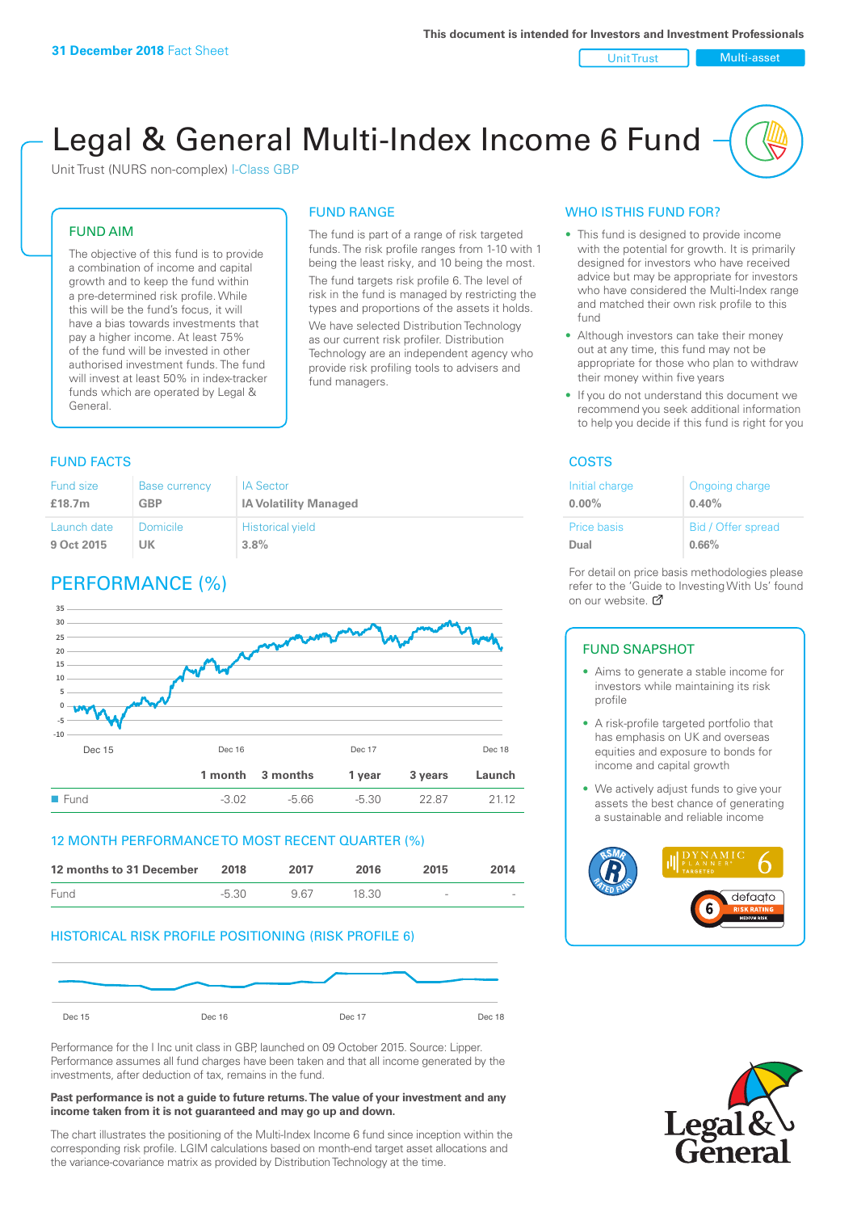#### Unit Trust Nulti-asset

# Legal & General Multi-Index Income 6 Fund

Unit Trust (NURS non-complex) I-Class GBP

# FUND AIM

The objective of this fund is to provide a combination of income and capital growth and to keep the fund within a pre-determined risk profile. While this will be the fund's focus, it will have a bias towards investments that pay a higher income. At least 75% of the fund will be invested in other authorised investment funds. The fund will invest at least 50% in index-tracker funds which are operated by Legal & General.

# FUND RANGE

The fund is part of a range of risk targeted funds. The risk profile ranges from 1-10 with 1 being the least risky, and 10 being the most. The fund targets risk profile 6. The level of risk in the fund is managed by restricting the

types and proportions of the assets it holds. We have selected Distribution Technology as our current risk profiler. Distribution Technology are an independent agency who provide risk profiling tools to advisers and fund managers.

# **FUND FACTS** COSTS

| <b>Fund size</b>   | <b>Base currency</b> | <b>IA Sector</b>             |
|--------------------|----------------------|------------------------------|
| £18.7 <sub>m</sub> | <b>GBP</b>           | <b>IA Volatility Managed</b> |
| Launch date        | Domicile             | <b>Historical yield</b>      |
| 9 Oct 2015         | UK                   | 3.8%                         |

# PERFORMANCE (%)



# 12 MONTH PERFORMANCE TO MOST RECENT QUARTER (%)

| 12 months to 31 December | 2018    | 2017 | 2016  | 2015                     | 2014   |
|--------------------------|---------|------|-------|--------------------------|--------|
| Fund                     | $-5.30$ | 967  | 18.30 | $\overline{\phantom{a}}$ | $\sim$ |

# HISTORICAL RISK PROFILE POSITIONING (RISK PROFILE 6)



Performance for the I Inc unit class in GBP, launched on 09 October 2015. Source: Lipper. Performance assumes all fund charges have been taken and that all income generated by the investments, after deduction of tax, remains in the fund.

#### **Past performance is not a guide to future returns. The value of your investment and any income taken from it is not guaranteed and may go up and down.**

The chart illustrates the positioning of the Multi-Index Income 6 fund since inception within the corresponding risk profile. LGIM calculations based on month-end target asset allocations and the variance-covariance matrix as provided by Distribution Technology at the time.

# WHO IS THIS FUND FOR?

- This fund is designed to provide income with the potential for growth. It is primarily designed for investors who have received advice but may be appropriate for investors who have considered the Multi-Index range and matched their own risk profile to this fund
- Although investors can take their money out at any time, this fund may not be appropriate for those who plan to withdraw their money within five years
- If you do not understand this document we recommend you seek additional information to help you decide if this fund is right for you

| Initial charge     | Ongoing charge     |
|--------------------|--------------------|
| $0.00\%$           | 0.40%              |
| <b>Price basis</b> | Bid / Offer spread |
| Dual               | 0.66%              |

For detail on price basis methodologies please refer to the 'Guide to Investing With Us' found on our website. Ø

#### FUND SNAPSHOT

- Aims to generate a stable income for investors while maintaining its risk profile
- A risk-profile targeted portfolio that has emphasis on UK and overseas equities and exposure to bonds for income and capital growth
- We actively adjust funds to give your assets the best chance of generating a sustainable and reliable income



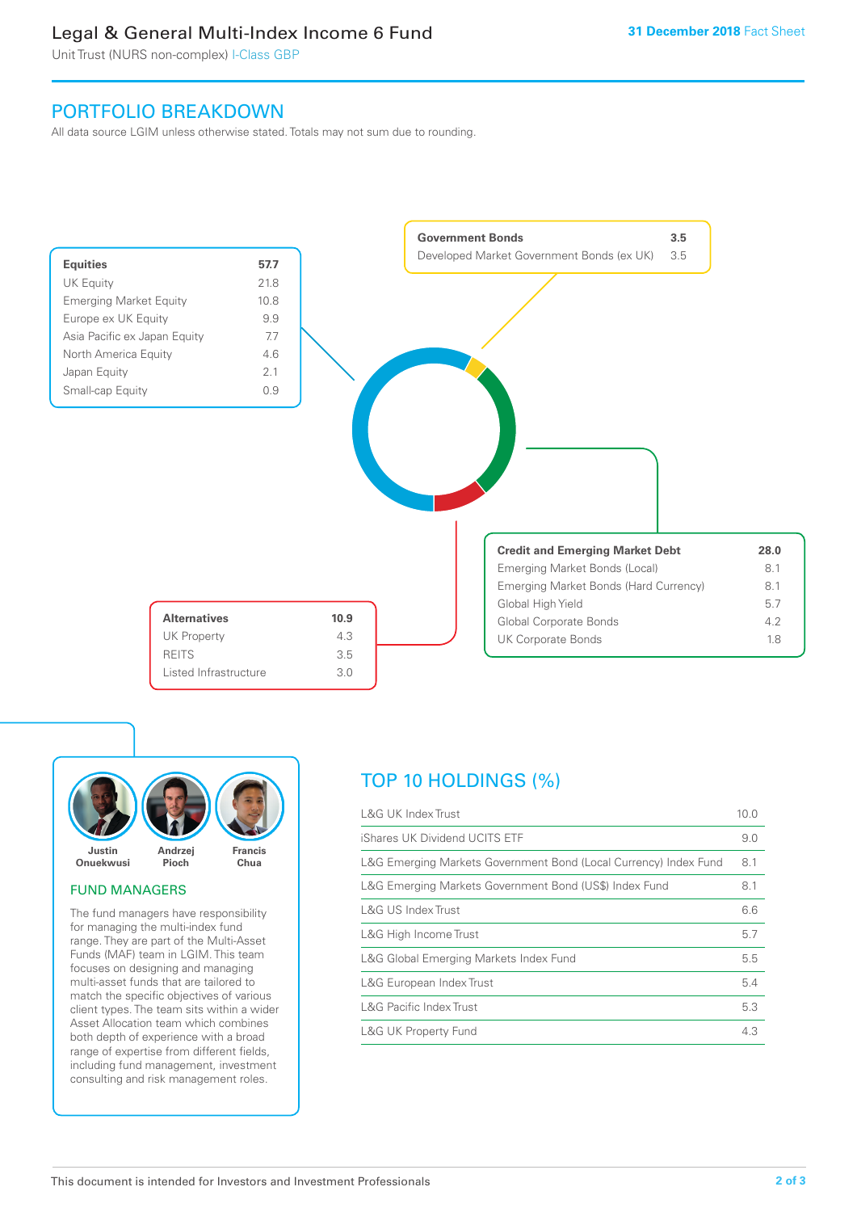# Legal & General Multi-Index Income 6 Fund

Unit Trust (NURS non-complex) I-Class GBP

# PORTFOLIO BREAKDOWN

All data source LGIM unless otherwise stated. Totals may not sum due to rounding.





# FUND MANAGERS

The fund managers have responsibility for managing the multi-index fund range. They are part of the Multi-Asset Funds (MAF) team in LGIM. This team focuses on designing and managing multi-asset funds that are tailored to match the specific objectives of various client types. The team sits within a wider Asset Allocation team which combines both depth of experience with a broad range of expertise from different fields, including fund management, investment consulting and risk management roles.

# TOP 10 HOLDINGS (%)

| <b>L&amp;G UK Index Trust</b>                                    | 10.0 |
|------------------------------------------------------------------|------|
| iShares UK Dividend UCITS ETF                                    | 9.0  |
| L&G Emerging Markets Government Bond (Local Currency) Index Fund | 8.1  |
| L&G Emerging Markets Government Bond (US\$) Index Fund           | 8.1  |
| L&G US Index Trust                                               | 6.6  |
| L&G High Income Trust                                            | 5.7  |
| L&G Global Emerging Markets Index Fund                           | 5.5  |
| L&G European Index Trust                                         | 5.4  |
| <b>L&amp;G Pacific Index Trust</b>                               | 5.3  |
| <b>L&amp;G UK Property Fund</b>                                  | 4.3  |